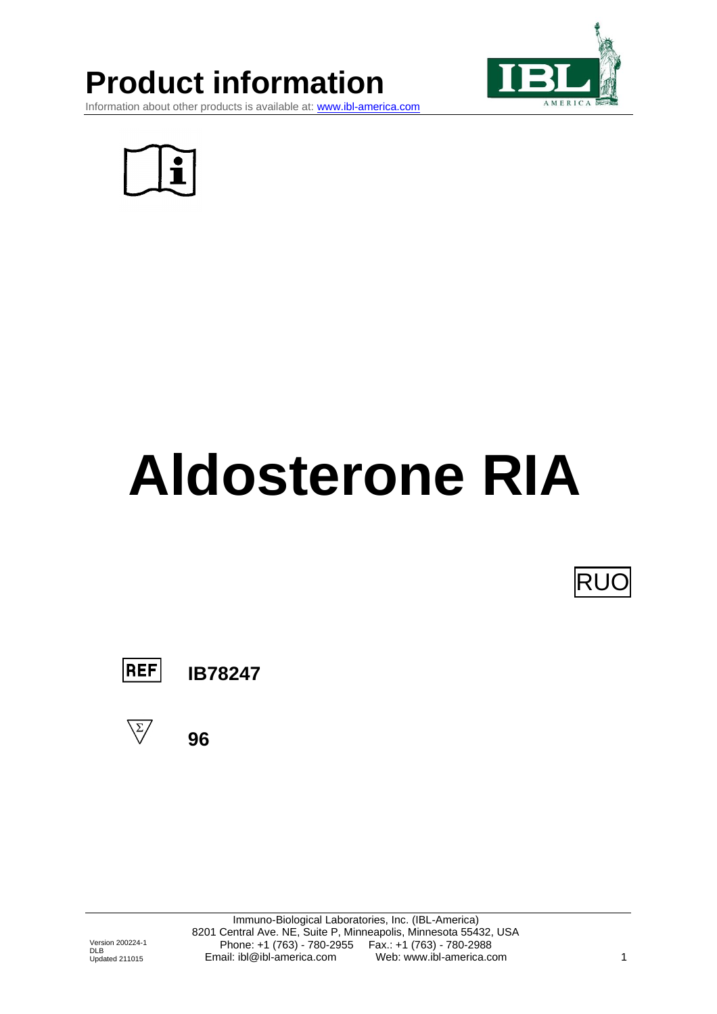## **Product information**



Information about other products is available at: [www.ibl-america.com](http://www.ibl-america.com/)



# **Aldosterone RIA**

lRU(



**IB78247**

**96**



Immuno-Biological Laboratories, Inc. (IBL-America) 8201 Central Ave. NE, Suite P, Minneapolis, Minnesota 55432, USA Phone: +1 (763) - 780-2955 Fax.: +1 (763) - 780-2988 Email: ibl@ibl-america.com Web: www.ibl-america.com 1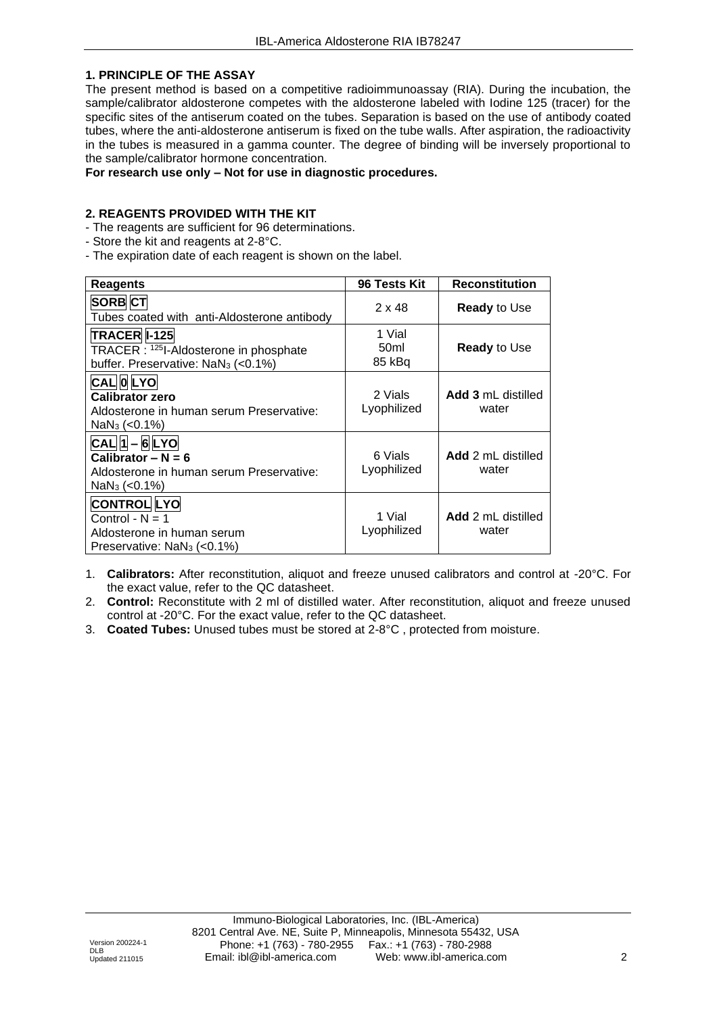#### **1. PRINCIPLE OF THE ASSAY**

The present method is based on a competitive radioimmunoassay (RIA). During the incubation, the sample/calibrator aldosterone competes with the aldosterone labeled with Iodine 125 (tracer) for the specific sites of the antiserum coated on the tubes. Separation is based on the use of antibody coated tubes, where the anti-aldosterone antiserum is fixed on the tube walls. After aspiration, the radioactivity in the tubes is measured in a gamma counter. The degree of binding will be inversely proportional to the sample/calibrator hormone concentration.

#### **For research use only – Not for use in diagnostic procedures.**

#### **2. REAGENTS PROVIDED WITH THE KIT**

- The reagents are sufficient for 96 determinations.
- Store the kit and reagents at 2-8°C.
- The expiration date of each reagent is shown on the label.

| <b>Reagents</b>                                                                                                 | 96 Tests Kit                         | <b>Reconstitution</b>       |
|-----------------------------------------------------------------------------------------------------------------|--------------------------------------|-----------------------------|
| SORB <sub>CT</sub><br>Tubes coated with anti-Aldosterone antibody                                               | $2 \times 48$                        | <b>Ready</b> to Use         |
| TRACER 1-125<br>TRACER : 1251-Aldosterone in phosphate<br>buffer. Preservative: NaN <sub>3</sub> (<0.1%)        | 1 Vial<br>50 <sub>ml</sub><br>85 kBq | <b>Ready</b> to Use         |
| CAL OLYO<br><b>Calibrator zero</b><br>Aldosterone in human serum Preservative:<br>$NaN3 (< 0.1\%)$              | 2 Vials<br>Lyophilized               | Add 3 mL distilled<br>water |
| $CAL[1] - 6LYO$<br>Calibrator $- N = 6$<br>Aldosterone in human serum Preservative:<br>$NaN3 (< 0.1\%)$         | 6 Vials<br>Lyophilized               | Add 2 mL distilled<br>water |
| <b>CONTROL LYO</b><br>Control - $N = 1$<br>Aldosterone in human serum<br>Preservative: NaN <sub>3</sub> (<0.1%) | 1 Vial<br>Lyophilized                | Add 2 mL distilled<br>water |

- 1. **Calibrators:** After reconstitution, aliquot and freeze unused calibrators and control at -20°C. For the exact value, refer to the QC datasheet.
- 2. **Control:** Reconstitute with 2 ml of distilled water. After reconstitution, aliquot and freeze unused control at -20°C. For the exact value, refer to the QC datasheet.
- 3. **Coated Tubes:** Unused tubes must be stored at 2-8°C , protected from moisture.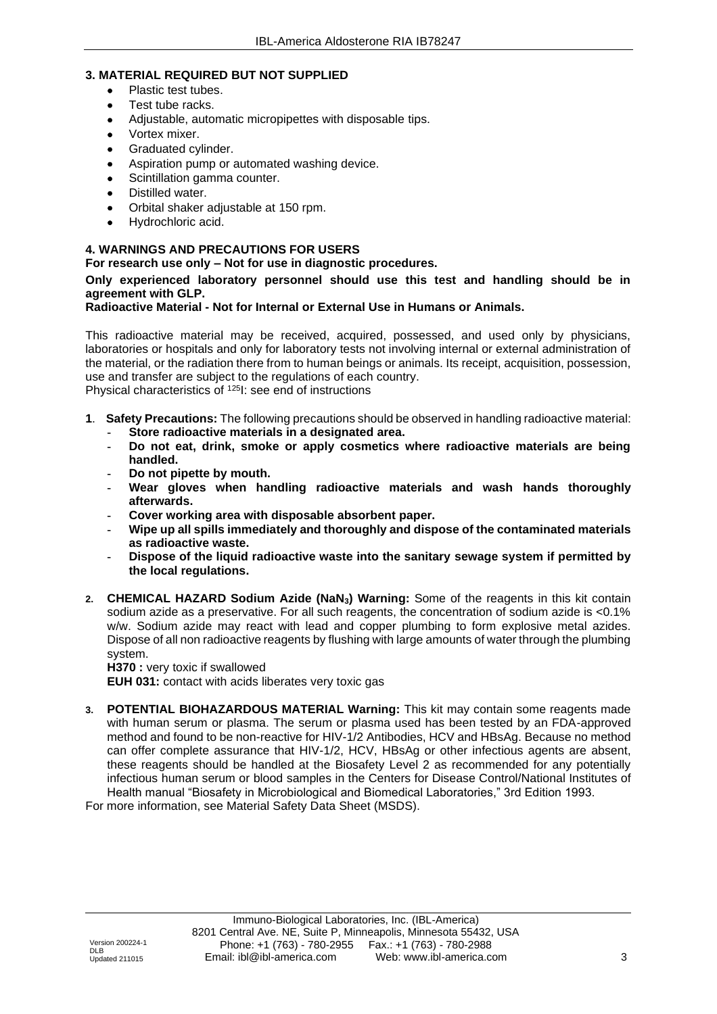#### **3. MATERIAL REQUIRED BUT NOT SUPPLIED**

- Plastic test tubes.
- Test tube racks.
- Adjustable, automatic micropipettes with disposable tips.
- Vortex mixer.
- Graduated cylinder.
- Aspiration pump or automated washing device.
- Scintillation gamma counter.
- Distilled water.
- Orbital shaker adjustable at 150 rpm.
- Hydrochloric acid.

#### **4. WARNINGS AND PRECAUTIONS FOR USERS**

**For research use only – Not for use in diagnostic procedures.**

#### **Only experienced laboratory personnel should use this test and handling should be in agreement with GLP.**

#### **Radioactive Material - Not for Internal or External Use in Humans or Animals.**

This radioactive material may be received, acquired, possessed, and used only by physicians, laboratories or hospitals and only for laboratory tests not involving internal or external administration of the material, or the radiation there from to human beings or animals. Its receipt, acquisition, possession, use and transfer are subject to the regulations of each country. Physical characteristics of <sup>125</sup>I: see end of instructions

- **1**. **Safety Precautions:** The following precautions should be observed in handling radioactive material:
	- **- Store radioactive materials in a designated area.**
	- **- Do not eat, drink, smoke or apply cosmetics where radioactive materials are being handled.**
	- **- Do not pipette by mouth.**
	- **- Wear gloves when handling radioactive materials and wash hands thoroughly afterwards.**
	- **- Cover working area with disposable absorbent paper.**
	- **- Wipe up all spills immediately and thoroughly and dispose of the contaminated materials as radioactive waste.**
	- **- Dispose of the liquid radioactive waste into the sanitary sewage system if permitted by the local regulations.**
- **2. CHEMICAL HAZARD Sodium Azide (NaN3) Warning:** Some of the reagents in this kit contain sodium azide as a preservative. For all such reagents, the concentration of sodium azide is <0.1% w/w. Sodium azide may react with lead and copper plumbing to form explosive metal azides. Dispose of all non radioactive reagents by flushing with large amounts of water through the plumbing system.

**H370 :** very toxic if swallowed

**EUH 031:** contact with acids liberates very toxic gas

**3. POTENTIAL BIOHAZARDOUS MATERIAL Warning:** This kit may contain some reagents made with human serum or plasma. The serum or plasma used has been tested by an FDA-approved method and found to be non-reactive for HIV-1/2 Antibodies, HCV and HBsAg. Because no method can offer complete assurance that HIV-1/2, HCV, HBsAg or other infectious agents are absent, these reagents should be handled at the Biosafety Level 2 as recommended for any potentially infectious human serum or blood samples in the Centers for Disease Control/National Institutes of Health manual "Biosafety in Microbiological and Biomedical Laboratories," 3rd Edition 1993.

For more information, see Material Safety Data Sheet (MSDS).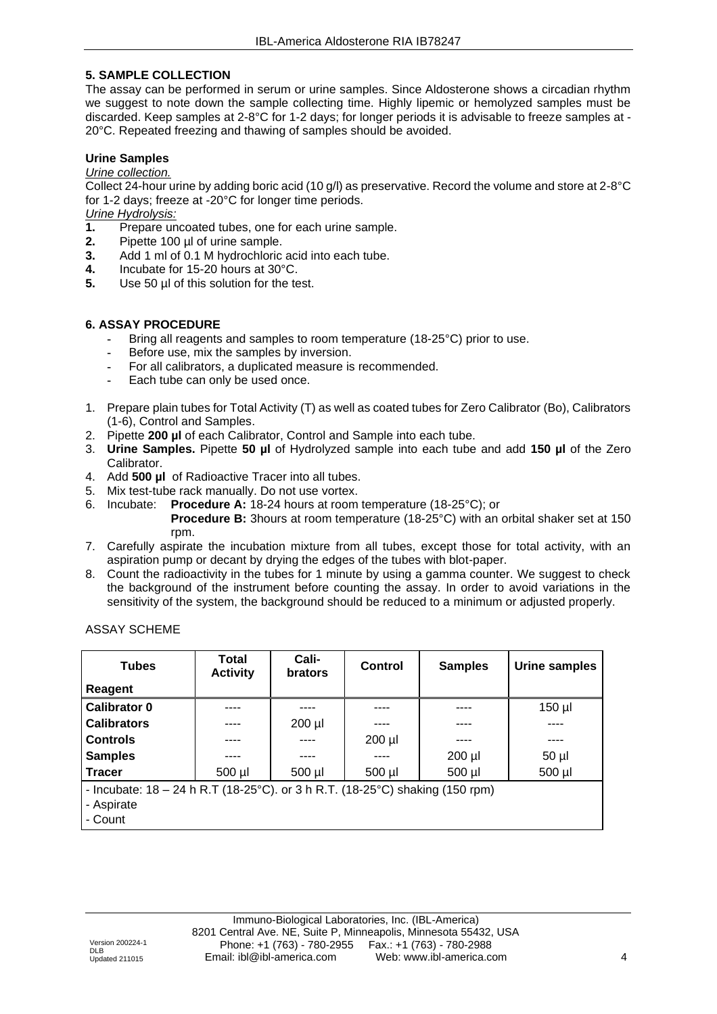#### **5. SAMPLE COLLECTION**

The assay can be performed in serum or urine samples. Since Aldosterone shows a circadian rhythm we suggest to note down the sample collecting time. Highly lipemic or hemolyzed samples must be discarded. Keep samples at 2-8°C for 1-2 days; for longer periods it is advisable to freeze samples at - 20°C. Repeated freezing and thawing of samples should be avoided.

#### **Urine Samples**

#### *Urine collection.*

Collect 24-hour urine by adding boric acid (10 g/l) as preservative. Record the volume and store at 2-8°C for 1-2 days; freeze at -20°C for longer time periods.

### *Urine Hydrolysis:*

- **1.** Prepare uncoated tubes, one for each urine sample.
- **2.** Pipette 100 µl of urine sample.
- **3.** Add 1 ml of 0.1 M hydrochloric acid into each tube.
- **4.** Incubate for 15-20 hours at 30°C.<br>**5.** Use 50 ul of this solution for the te
- Use 50  $\mu$ I of this solution for the test.

#### **6. ASSAY PROCEDURE**

- **-** Bring all reagents and samples to room temperature (18-25°C) prior to use.
- **-** Before use, mix the samples by inversion.
- **-** For all calibrators, a duplicated measure is recommended.
- **-** Each tube can only be used once.
- 1. Prepare plain tubes for Total Activity (T) as well as coated tubes for Zero Calibrator (Bo), Calibrators (1-6), Control and Samples.
- 2. Pipette **200 µl** of each Calibrator, Control and Sample into each tube.
- 3. **Urine Samples.** Pipette **50 µl** of Hydrolyzed sample into each tube and add **150 µl** of the Zero Calibrator.
- 4. Add **500 µl** of Radioactive Tracer into all tubes.
- 5. Mix test-tube rack manually. Do not use vortex.
- 6. Incubate: **Procedure A:** 18-24 hours at room temperature (18-25°C); or
	- **Procedure B:** 3hours at room temperature (18-25°C) with an orbital shaker set at 150 rpm.
- 7. Carefully aspirate the incubation mixture from all tubes, except those for total activity, with an aspiration pump or decant by drying the edges of the tubes with blot-paper.
- 8. Count the radioactivity in the tubes for 1 minute by using a gamma counter. We suggest to check the background of the instrument before counting the assay. In order to avoid variations in the sensitivity of the system, the background should be reduced to a minimum or adjusted properly.

ASSAY SCHEME

| <b>Tubes</b>                                                                                  | Total<br><b>Activity</b> | Cali-<br><b>brators</b> | Control     | <b>Samples</b> | Urine samples |
|-----------------------------------------------------------------------------------------------|--------------------------|-------------------------|-------------|----------------|---------------|
| Reagent                                                                                       |                          |                         |             |                |               |
| Calibrator 0                                                                                  |                          |                         |             |                | $150$ µl      |
| <b>Calibrators</b>                                                                            |                          | $200$ $\mu$             |             |                |               |
| <b>Controls</b>                                                                               |                          | .                       | $200$ $\mu$ |                | ----          |
| <b>Samples</b>                                                                                |                          |                         |             | $200$ $\mu$    | $50$ µl       |
| <b>Tracer</b>                                                                                 | $500$ µl                 | $500$ $\mu$             | $500$ µl    | 500 µl         | $500$ $\mu$   |
| - Incubate: $18 - 24$ h R.T ( $18 - 25$ °C). or 3 h R.T. ( $18 - 25$ °C) shaking ( $150$ rpm) |                          |                         |             |                |               |
| - Aspirate                                                                                    |                          |                         |             |                |               |
| - Count                                                                                       |                          |                         |             |                |               |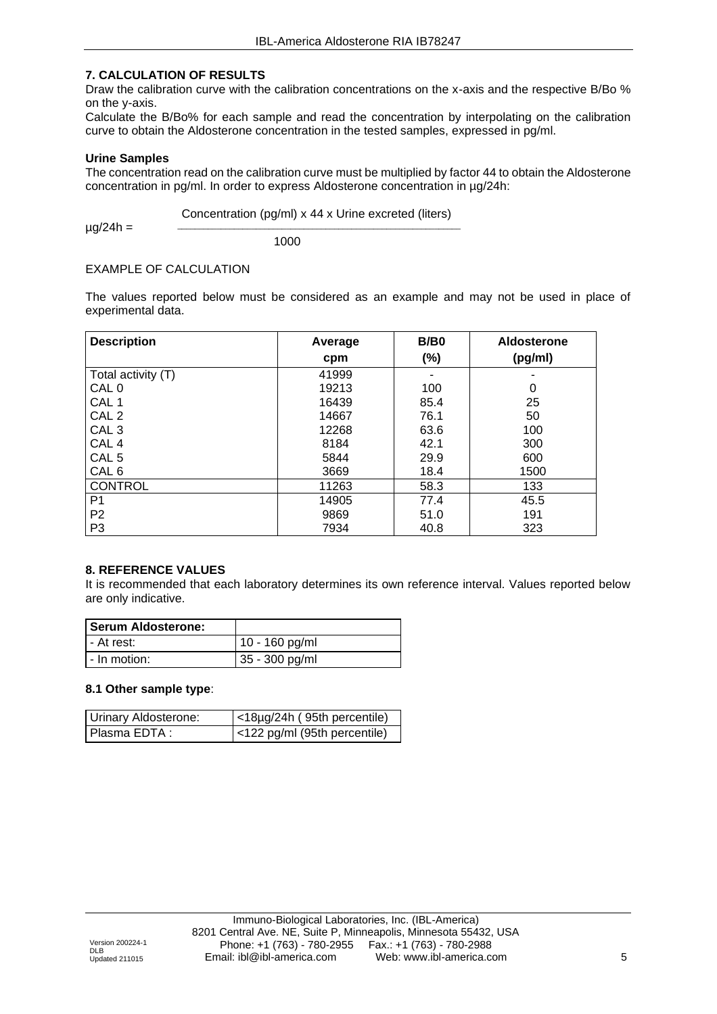#### **7. CALCULATION OF RESULTS**

Draw the calibration curve with the calibration concentrations on the x-axis and the respective B/Bo % on the y-axis.

Calculate the B/Bo% for each sample and read the concentration by interpolating on the calibration curve to obtain the Aldosterone concentration in the tested samples, expressed in pg/ml.

#### **Urine Samples**

The concentration read on the calibration curve must be multiplied by factor 44 to obtain the Aldosterone concentration in pg/ml. In order to express Aldosterone concentration in µg/24h:

Concentration (pg/ml) x 44 x Urine excreted (liters)

 $\_$  , and the set of the set of the set of the set of the set of the set of the set of the set of the set of the set of the set of the set of the set of the set of the set of the set of the set of the set of the set of th

 $\mu$ g/24h =

1000

#### EXAMPLE OF CALCULATION

The values reported below must be considered as an example and may not be used in place of experimental data.

| <b>Description</b> | Average | B/B0   | Aldosterone |
|--------------------|---------|--------|-------------|
|                    | cpm     | $(\%)$ | (pg/ml)     |
| Total activity (T) | 41999   |        |             |
| CAL 0              | 19213   | 100    | 0           |
| CAL <sub>1</sub>   | 16439   | 85.4   | 25          |
| CAL <sub>2</sub>   | 14667   | 76.1   | 50          |
| CAL <sub>3</sub>   | 12268   | 63.6   | 100         |
| CAL <sub>4</sub>   | 8184    | 42.1   | 300         |
| CAL <sub>5</sub>   | 5844    | 29.9   | 600         |
| CAL <sub>6</sub>   | 3669    | 18.4   | 1500        |
| <b>CONTROL</b>     | 11263   | 58.3   | 133         |
| P <sub>1</sub>     | 14905   | 77.4   | 45.5        |
| P <sub>2</sub>     | 9869    | 51.0   | 191         |
| P <sub>3</sub>     | 7934    | 40.8   | 323         |

#### **8. REFERENCE VALUES**

It is recommended that each laboratory determines its own reference interval. Values reported below are only indicative.

| <b>Serum Aldosterone:</b> |                  |
|---------------------------|------------------|
| - At rest:                | 10 - 160 pg/ml   |
| - In motion:              | $35 - 300$ pg/ml |

#### **8.1 Other sample type**:

| Urinary Aldosterone: | $\vert$ <18µg/24h (95th percentile) |
|----------------------|-------------------------------------|
| l Plasma EDTA :      | <122 pg/ml (95th percentile)        |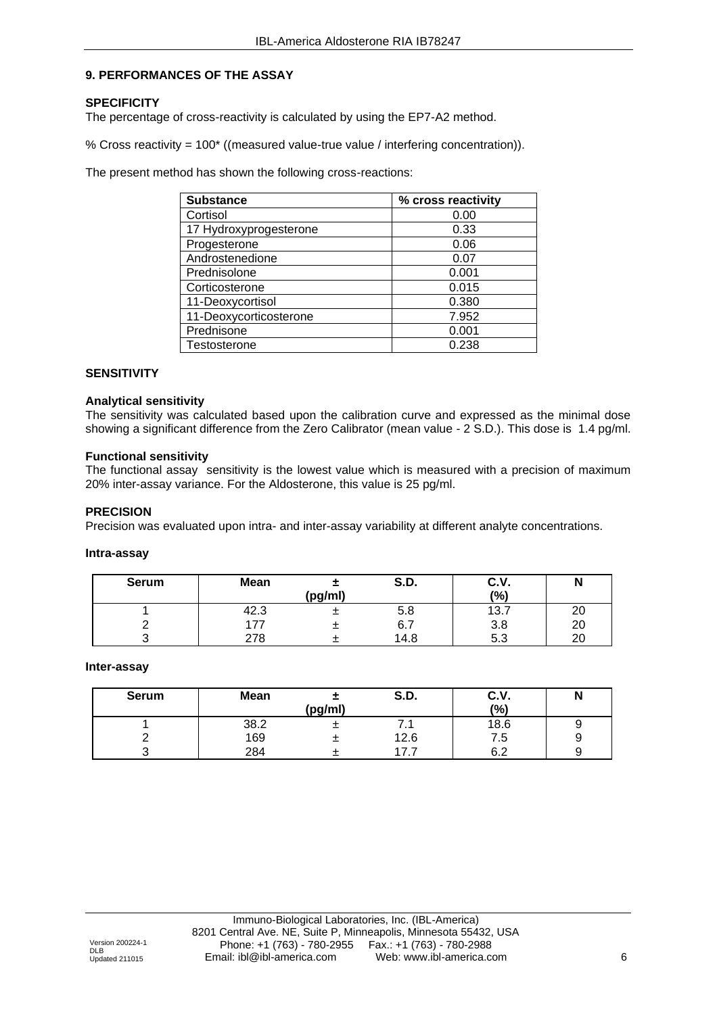#### **9. PERFORMANCES OF THE ASSAY**

#### **SPECIFICITY**

The percentage of cross-reactivity is calculated by using the EP7-A2 method.

% Cross reactivity = 100\* ((measured value-true value / interfering concentration)).

The present method has shown the following cross-reactions:

| <b>Substance</b>       | % cross reactivity |
|------------------------|--------------------|
| Cortisol               | 0.00               |
| 17 Hydroxyprogesterone | 0.33               |
| Progesterone           | 0.06               |
| Androstenedione        | 0.07               |
| Prednisolone           | 0.001              |
| Corticosterone         | 0.015              |
| 11-Deoxycortisol       | 0.380              |
| 11-Deoxycorticosterone | 7.952              |
| Prednisone             | 0.001              |
| Testosterone           | 0.238              |

#### **SENSITIVITY**

#### **Analytical sensitivity**

The sensitivity was calculated based upon the calibration curve and expressed as the minimal dose showing a significant difference from the Zero Calibrator (mean value - 2 S.D.). This dose is 1.4 pg/ml.

#### **Functional sensitivity**

The functional assay sensitivity is the lowest value which is measured with a precision of maximum 20% inter-assay variance. For the Aldosterone, this value is 25 pg/ml.

#### **PRECISION**

Precision was evaluated upon intra- and inter-assay variability at different analyte concentrations.

#### **Intra-assay**

| <b>Serum</b> | <b>Mean</b> |         | <b>S.D.</b> | C.V. | N        |
|--------------|-------------|---------|-------------|------|----------|
|              |             | (pg/ml) |             | (%)  |          |
|              | 42.3        |         | 5.8         | 13.7 | nr<br>∠∪ |
|              | 77          |         | 6.7         | 3.8  | 20       |
|              | 278         |         | 14.8        | 5.3  | ററ<br>∠⊾ |

#### **Inter-assay**

| <b>Serum</b> | <b>Mean</b> |         | S.D. | C.V.      | IN |
|--------------|-------------|---------|------|-----------|----|
|              |             | (pg/ml) |      | (%)       |    |
|              | 38.2        |         | .    | 18.6      | У  |
|              | 169         |         | 12.6 | 7. S      | У  |
|              | 284         |         |      | ຂາ<br>∪.∠ | У  |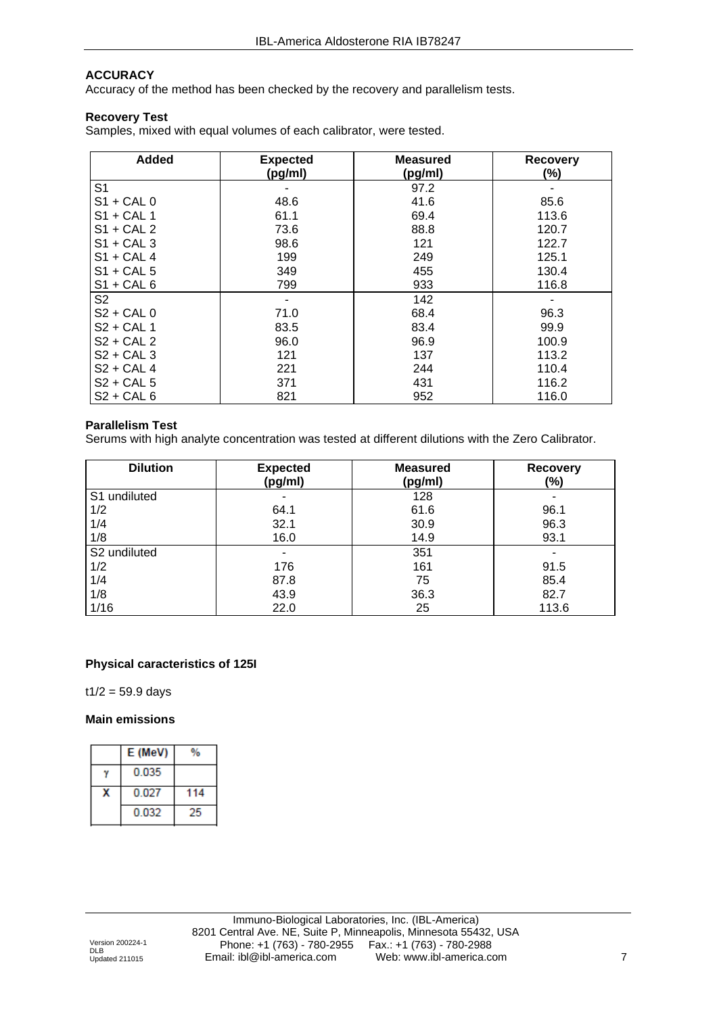#### **ACCURACY**

Accuracy of the method has been checked by the recovery and parallelism tests.

#### **Recovery Test**

Samples, mixed with equal volumes of each calibrator, were tested.

| <b>Added</b>   | <b>Expected</b> | <b>Measured</b> | <b>Recovery</b> |
|----------------|-----------------|-----------------|-----------------|
|                | (pg/ml)         | (pg/ml)         | (%)             |
| S1             |                 | 97.2            |                 |
| $S1 + CAL$ 0   | 48.6            | 41.6            | 85.6            |
| $S1 + CAL$ 1   | 61.1            | 69.4            | 113.6           |
| $S1 + CAL2$    | 73.6            | 88.8            | 120.7           |
| $S1 + CAL$ 3   | 98.6            | 121             | 122.7           |
| $S1 + CAL4$    | 199             | 249             | 125.1           |
| $S1 + CAL5$    | 349             | 455             | 130.4           |
| $S1 + CAL6$    | 799             | 933             | 116.8           |
| S <sub>2</sub> |                 | 142             |                 |
| $S2 + CAL$ 0   | 71.0            | 68.4            | 96.3            |
| $S2 + CAL1$    | 83.5            | 83.4            | 99.9            |
| $S2 + CAL2$    | 96.0            | 96.9            | 100.9           |
| $S2 + CAL3$    | 121             | 137             | 113.2           |
| $S2 + CAL$ 4   | 221             | 244             | 110.4           |
| $S2 + CAL5$    | 371             | 431             | 116.2           |
| $S2 + CAL6$    | 821             | 952             | 116.0           |

#### **Parallelism Test**

Serums with high analyte concentration was tested at different dilutions with the Zero Calibrator.

| <b>Dilution</b>          | <b>Expected</b><br>(pg/ml) | <b>Measured</b><br>(pg/ml) | <b>Recovery</b><br>(%) |
|--------------------------|----------------------------|----------------------------|------------------------|
| S1 undiluted             |                            | 128                        |                        |
| 1/2                      | 64.1                       | 61.6                       | 96.1                   |
| 1/4                      | 32.1                       | 30.9                       | 96.3                   |
| 1/8                      | 16.0                       | 14.9                       | 93.1                   |
| S <sub>2</sub> undiluted |                            | 351                        |                        |
| 1/2                      | 176                        | 161                        | 91.5                   |
| 1/4                      | 87.8                       | 75                         | 85.4                   |
| 1/8                      | 43.9                       | 36.3                       | 82.7                   |
| 1/16                     | 22.0                       | 25                         | 113.6                  |

#### **Physical caracteristics of 125I**

 $t1/2 = 59.9$  days

#### **Main emissions**

| E (MeV) |     |
|---------|-----|
| 0.035   |     |
| 0.027   | 114 |
| 0.032   |     |